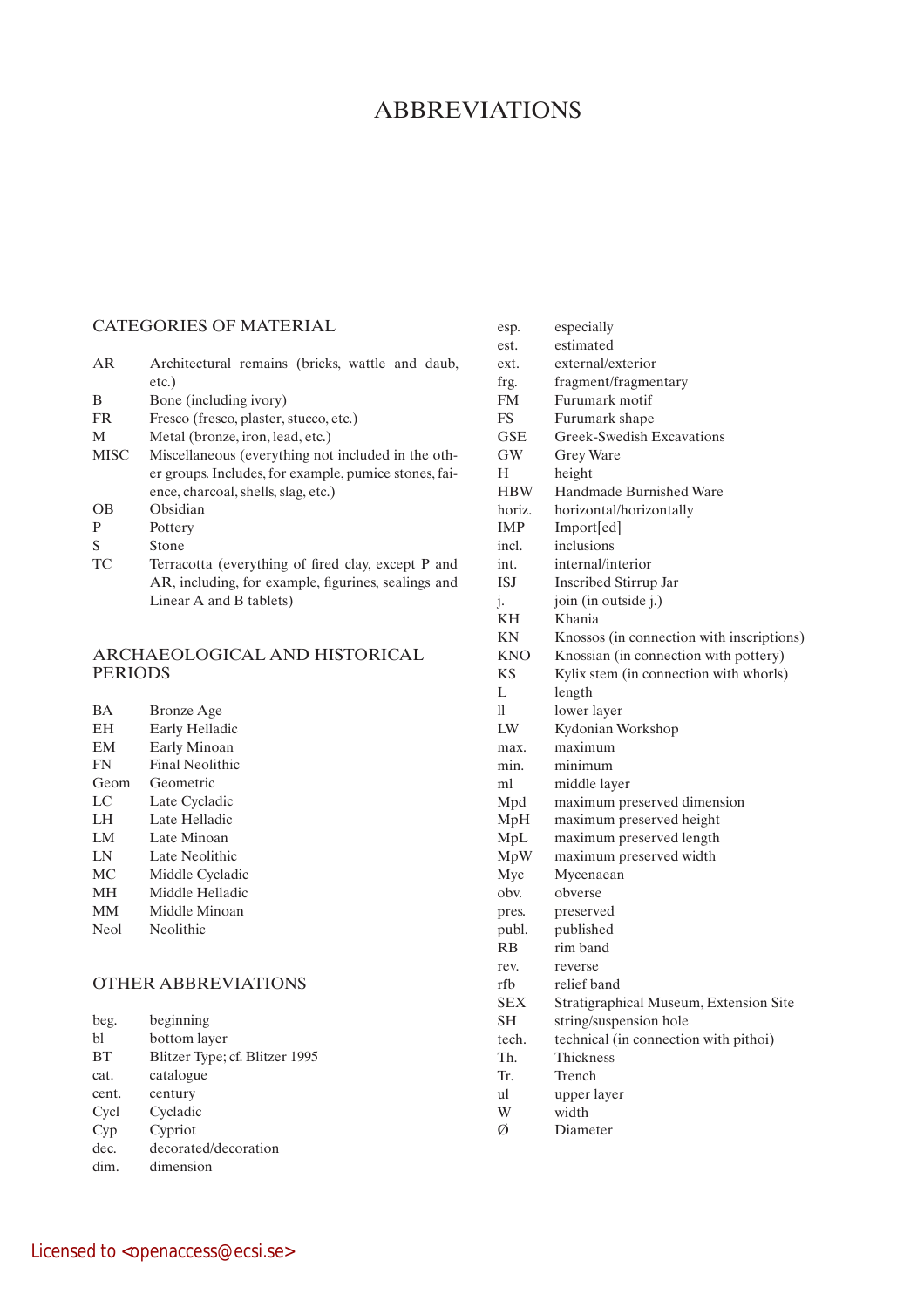# **ABBREVIATIONS**

## CATEGORIES OF MATERIAL

| AR    | Architectural remains (bricks, wattle and daub,<br>etc.) |
|-------|----------------------------------------------------------|
| B     | Bone (including ivory)                                   |
| FR    | Fresco (fresco, plaster, stucco, etc.)                   |
| M     | Metal (bronze, iron, lead, etc.)                         |
| MISC. | Miscellaneous (everything not included in the oth-       |

- MISC Miscellaneous (everything not included in the other groups. Includes, for example, pumice stones, faience, charcoal, shells, slag, etc.)
- OB Obsidian
- P Pottery
- S Stone
- TC Terracotta (everything of fired clay, except P and AR, including, for example, figurines, sealings and Linear A and B tablets)

## ARCHAEOLOGICAL AND HISTORICAL PERIODS

| <b>BA</b> | <b>Bronze</b> Age |
|-----------|-------------------|
| EH        | Early Helladic    |
| EM        | Early Minoan      |
| FN        | Final Neolithic   |
| Geom      | Geometric         |
| LC        | Late Cycladic     |
| LH        | Late Helladic     |
| LM        | Late Minoan       |
| LΝ        | Late Neolithic    |
| МC        | Middle Cycladic   |
| MН        | Middle Helladic   |
| <b>MM</b> | Middle Minoan     |
| Neol      | Neolithic         |
|           |                   |

# OTHER ABBREVIATIONS

| beginning | beg. |
|-----------|------|
|           |      |

| bl | bottom layer |  |
|----|--------------|--|
|    |              |  |

- BT Blitzer Type; cf. Blitzer 1995
- cat. catalogue

cent. century

- Cycl Cycladic
- Cyp Cypriot
- dec. decorated/decoration
- dim. dimension

| esp.       | especially                                |
|------------|-------------------------------------------|
| est.       | estimated                                 |
| ext.       | external/exterior                         |
| frg.       | fragment/fragmentary                      |
| FM.        | Furumark motif                            |
| FS         | Furumark shape                            |
| <b>GSE</b> | Greek-Swedish Excavations                 |
| GW         | Grey Ware                                 |
| H          | height                                    |
| <b>HBW</b> | <b>Handmade Burnished Ware</b>            |
| horiz.     | horizontal/horizontally                   |
| IMP        | Import[ed]                                |
| incl.      | inclusions                                |
| int.       | internal/interior                         |
| ISJ        | <b>Inscribed Stirrup Jar</b>              |
| j.         | join (in outside j.)                      |
| KН         | Khania                                    |
| ΚN         | Knossos (in connection with inscriptions) |
| KNO        | Knossian (in connection with pottery)     |
| <b>KS</b>  | Kylix stem (in connection with whorls)    |
| L          | length                                    |
| 11         | lower layer                               |
| LW         | Kydonian Workshop                         |
| max.       | maximum                                   |
| min.       | minimum                                   |
| ml         | middle layer                              |
| Mpd        | maximum preserved dimension               |
| MpH        | maximum preserved height                  |
| MpL        | maximum preserved length                  |
| MpW        | maximum preserved width                   |
| Myc        | Mycenaean                                 |
| obv.       | obverse                                   |
| pres.      | preserved                                 |
| publ.      | published                                 |
| <b>RB</b>  | rim band                                  |
| rev.       | reverse                                   |
| rfb        | relief band                               |
| SEX        | Stratigraphical Museum, Extension Site    |
| <b>SH</b>  | string/suspension hole                    |
| tech.      | technical (in connection with pithoi)     |
| Th.        | <b>Thickness</b>                          |
| Tr.        | Trench                                    |
| ul         | upper layer                               |
| W          | width                                     |
| Ø          | Diameter                                  |